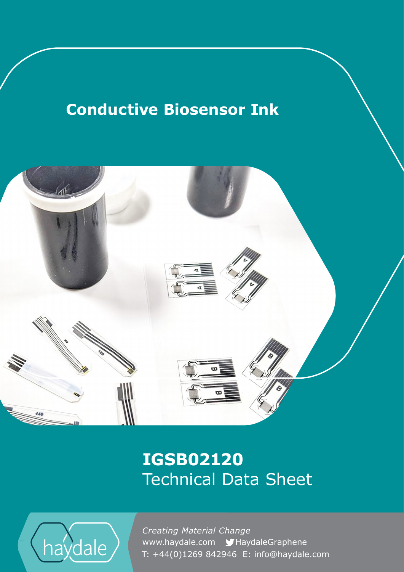# **Conductive Biosensor Ink**



## **IGSB02120** Technical Data Sheet



www.haydale.com MHaydaleGraphene *Creating Material Change*  T: +44(0)1269 842946 E: info@haydale.com